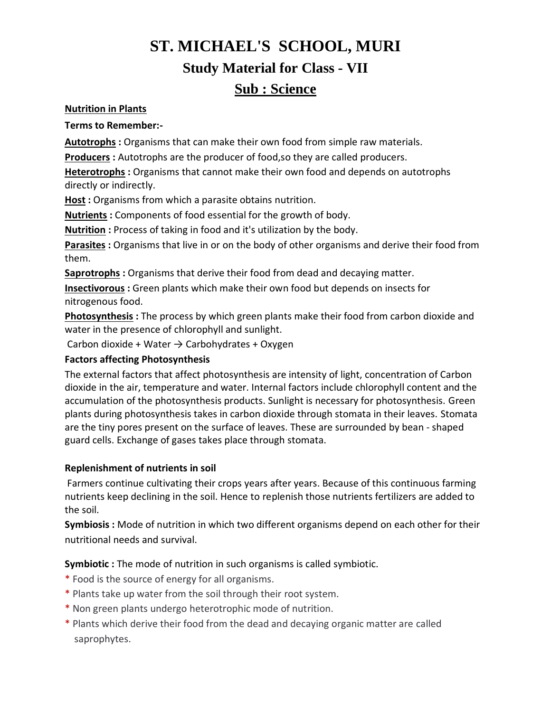# **ST. MICHAEL'S SCHOOL, MURI Study Material for Class - VII Sub : Science**

### **Nutrition in Plants**

#### **Terms to Remember:-**

**Autotrophs :** Organisms that can make their own food from simple raw materials.

**Producers :** Autotrophs are the producer of food,so they are called producers.

**Heterotrophs :** Organisms that cannot make their own food and depends on autotrophs directly or indirectly.

**Host :** Organisms from which a parasite obtains nutrition.

**Nutrients :** Components of food essential for the growth of body.

**Nutrition :** Process of taking in food and it's utilization by the body.

**Parasites :** Organisms that live in or on the body of other organisms and derive their food from them.

**Saprotrophs :** Organisms that derive their food from dead and decaying matter.

**Insectivorous :** Green plants which make their own food but depends on insects for nitrogenous food.

**Photosynthesis :** The process by which green plants make their food from carbon dioxide and water in the presence of chlorophyll and sunlight.

Carbon dioxide + Water  $\rightarrow$  Carbohydrates + Oxygen

## **Factors affecting Photosynthesis**

The external factors that affect photosynthesis are intensity of light, concentration of Carbon dioxide in the air, temperature and water. Internal factors include chlorophyll content and the accumulation of the photosynthesis products. Sunlight is necessary for photosynthesis. Green plants during photosynthesis takes in carbon dioxide through stomata in their leaves. Stomata are the tiny pores present on the surface of leaves. These are surrounded by bean - shaped guard cells. Exchange of gases takes place through stomata.

## **Replenishment of nutrients in soil**

Farmers continue cultivating their crops years after years. Because of this continuous farming nutrients keep declining in the soil. Hence to replenish those nutrients fertilizers are added to the soil.

**Symbiosis :** Mode of nutrition in which two different organisms depend on each other for their nutritional needs and survival.

**Symbiotic :** The mode of nutrition in such organisms is called symbiotic.

- \* Food is the source of energy for all organisms.
- \* Plants take up water from the soil through their root system.
- \* Non green plants undergo heterotrophic mode of nutrition.
- \* Plants which derive their food from the dead and decaying organic matter are called saprophytes.